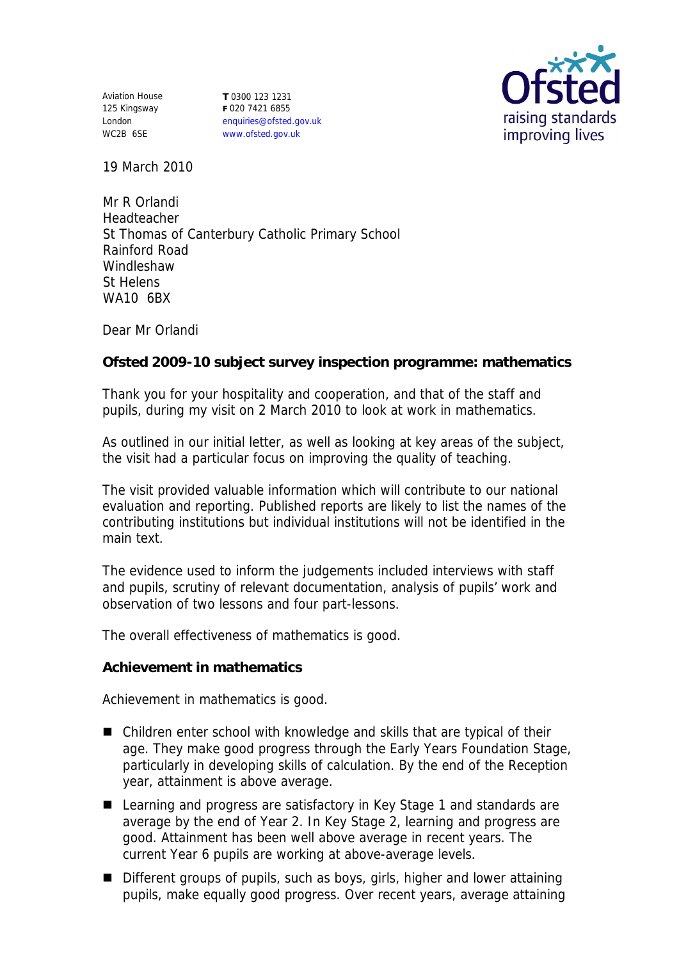Aviation House 125 Kingsway London WC2B 6SE

**T** 0300 123 1231 **F** 020 7421 6855 enquiries@ofsted.gov.uk www.ofsted.gov.uk



19 March 2010

Mr R Orlandi Headteacher St Thomas of Canterbury Catholic Primary School Rainford Road Windleshaw St Helens WA10 6BX

Dear Mr Orlandi

**Ofsted 2009-10 subject survey inspection programme: mathematics**

Thank you for your hospitality and cooperation, and that of the staff and pupils, during my visit on 2 March 2010 to look at work in mathematics.

As outlined in our initial letter, as well as looking at key areas of the subject, the visit had a particular focus on improving the quality of teaching.

The visit provided valuable information which will contribute to our national evaluation and reporting. Published reports are likely to list the names of the contributing institutions but individual institutions will not be identified in the main text.

The evidence used to inform the judgements included interviews with staff and pupils, scrutiny of relevant documentation, analysis of pupils' work and observation of two lessons and four part-lessons.

The overall effectiveness of mathematics is good.

**Achievement in mathematics**

Achievement in mathematics is good.

- Children enter school with knowledge and skills that are typical of their age. They make good progress through the Early Years Foundation Stage, particularly in developing skills of calculation. By the end of the Reception year, attainment is above average.
- Learning and progress are satisfactory in Key Stage 1 and standards are average by the end of Year 2. In Key Stage 2, learning and progress are good. Attainment has been well above average in recent years. The current Year 6 pupils are working at above-average levels.
- Different groups of pupils, such as boys, girls, higher and lower attaining pupils, make equally good progress. Over recent years, average attaining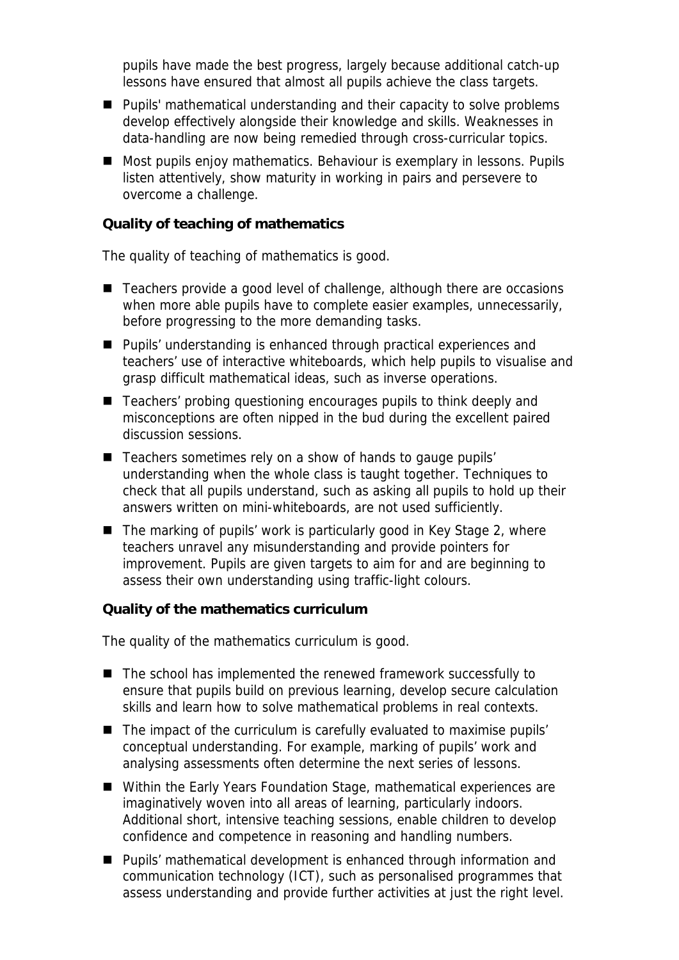pupils have made the best progress, largely because additional catch-up lessons have ensured that almost all pupils achieve the class targets.

- **Pupils' mathematical understanding and their capacity to solve problems** develop effectively alongside their knowledge and skills. Weaknesses in data-handling are now being remedied through cross-curricular topics.
- Most pupils enjoy mathematics. Behaviour is exemplary in lessons. Pupils listen attentively, show maturity in working in pairs and persevere to overcome a challenge.

**Quality of teaching of mathematics**

The quality of teaching of mathematics is good.

- Teachers provide a good level of challenge, although there are occasions when more able pupils have to complete easier examples, unnecessarily, before progressing to the more demanding tasks.
- Pupils' understanding is enhanced through practical experiences and teachers' use of interactive whiteboards, which help pupils to visualise and grasp difficult mathematical ideas, such as inverse operations.
- Teachers' probing questioning encourages pupils to think deeply and misconceptions are often nipped in the bud during the excellent paired discussion sessions.
- Teachers sometimes rely on a show of hands to gauge pupils' understanding when the whole class is taught together. Techniques to check that all pupils understand, such as asking all pupils to hold up their answers written on mini-whiteboards, are not used sufficiently.
- The marking of pupils' work is particularly good in Key Stage 2, where teachers unravel any misunderstanding and provide pointers for improvement. Pupils are given targets to aim for and are beginning to assess their own understanding using traffic-light colours.

**Quality of the mathematics curriculum**

The quality of the mathematics curriculum is good.

- The school has implemented the renewed framework successfully to ensure that pupils build on previous learning, develop secure calculation skills and learn how to solve mathematical problems in real contexts.
- The impact of the curriculum is carefully evaluated to maximise pupils' conceptual understanding. For example, marking of pupils' work and analysing assessments often determine the next series of lessons.
- Within the Early Years Foundation Stage, mathematical experiences are imaginatively woven into all areas of learning, particularly indoors. Additional short, intensive teaching sessions, enable children to develop confidence and competence in reasoning and handling numbers.
- Pupils' mathematical development is enhanced through information and communication technology (ICT), such as personalised programmes that assess understanding and provide further activities at just the right level.